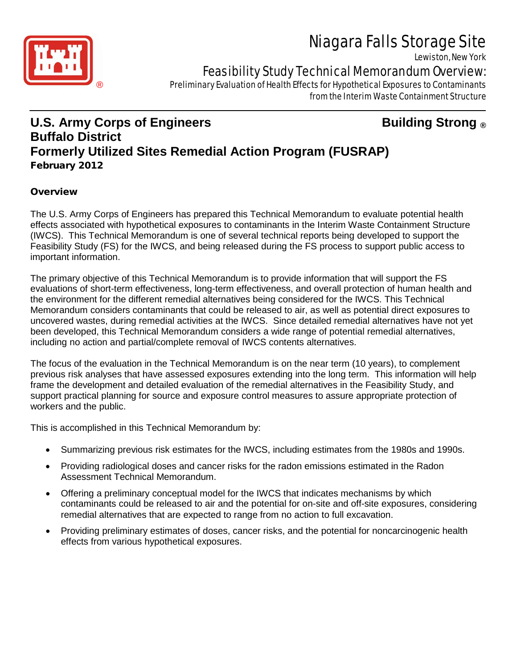# Niagara Falls Storage Site

Lewiston, New York



# Feasibility Study Technical Memorandum Overview:

 ® Preliminary Evaluation of Health Effects for Hypothetical Exposures to Contaminants from the Interim Waste Containment Structure

# **U.S. Army Corps of Engineers Building Strong ® Buffalo District Formerly Utilized Sites Remedial Action Program (FUSRAP)** February 2012

## **Overview**

The U.S. Army Corps of Engineers has prepared this Technical Memorandum to evaluate potential health effects associated with hypothetical exposures to contaminants in the Interim Waste Containment Structure (IWCS). This Technical Memorandum is one of several technical reports being developed to support the Feasibility Study (FS) for the IWCS, and being released during the FS process to support public access to important information.

The primary objective of this Technical Memorandum is to provide information that will support the FS evaluations of short-term effectiveness, long-term effectiveness, and overall protection of human health and the environment for the different remedial alternatives being considered for the IWCS. This Technical Memorandum considers contaminants that could be released to air, as well as potential direct exposures to uncovered wastes, during remedial activities at the IWCS. Since detailed remedial alternatives have not yet been developed, this Technical Memorandum considers a wide range of potential remedial alternatives, including no action and partial/complete removal of IWCS contents alternatives.

The focus of the evaluation in the Technical Memorandum is on the near term (10 years), to complement previous risk analyses that have assessed exposures extending into the long term. This information will help frame the development and detailed evaluation of the remedial alternatives in the Feasibility Study, and support practical planning for source and exposure control measures to assure appropriate protection of workers and the public.

This is accomplished in this Technical Memorandum by:

- Summarizing previous risk estimates for the IWCS, including estimates from the 1980s and 1990s.
- Providing radiological doses and cancer risks for the radon emissions estimated in the Radon Assessment Technical Memorandum.
- Offering a preliminary conceptual model for the IWCS that indicates mechanisms by which contaminants could be released to air and the potential for on-site and off-site exposures, considering remedial alternatives that are expected to range from no action to full excavation.
- Providing preliminary estimates of doses, cancer risks, and the potential for noncarcinogenic health effects from various hypothetical exposures.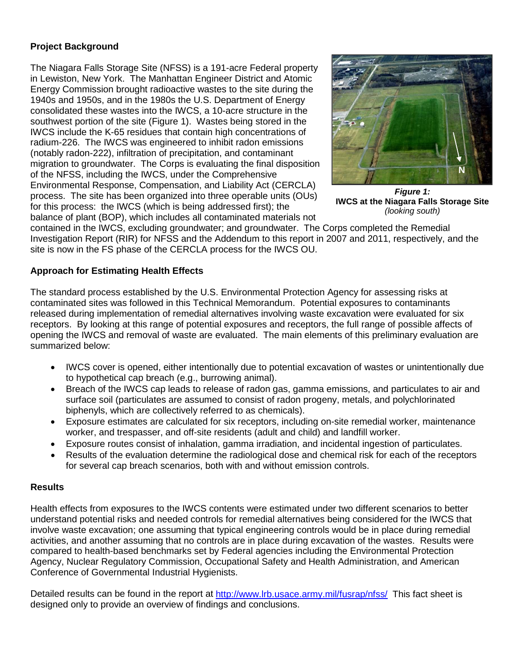### **Project Background**

The Niagara Falls Storage Site (NFSS) is a 191-acre Federal property in Lewiston, New York. The Manhattan Engineer District and Atomic Energy Commission brought radioactive wastes to the site during the 1940s and 1950s, and in the 1980s the U.S. Department of Energy consolidated these wastes into the IWCS, a 10-acre structure in the southwest portion of the site (Figure 1). Wastes being stored in the IWCS include the K-65 residues that contain high concentrations of radium-226. The IWCS was engineered to inhibit radon emissions (notably radon-222), infiltration of precipitation, and contaminant migration to groundwater. The Corps is evaluating the final disposition of the NFSS, including the IWCS, under the Comprehensive Environmental Response, Compensation, and Liability Act (CERCLA) process. The site has been organized into three operable units (OUs) for this process: the IWCS (which is being addressed first); the balance of plant (BOP), which includes all contaminated materials not



*Figure 1:* **IWCS at the Niagara Falls Storage Site**  *(looking south)*

contained in the IWCS, excluding groundwater; and groundwater. The Corps completed the Remedial Investigation Report (RIR) for NFSS and the Addendum to this report in 2007 and 2011, respectively, and the site is now in the FS phase of the CERCLA process for the IWCS OU.

#### **Approach for Estimating Health Effects**

The standard process established by the U.S. Environmental Protection Agency for assessing risks at contaminated sites was followed in this Technical Memorandum. Potential exposures to contaminants released during implementation of remedial alternatives involving waste excavation were evaluated for six receptors. By looking at this range of potential exposures and receptors, the full range of possible affects of opening the IWCS and removal of waste are evaluated. The main elements of this preliminary evaluation are summarized below:

- IWCS cover is opened, either intentionally due to potential excavation of wastes or unintentionally due to hypothetical cap breach (e.g., burrowing animal).
- Breach of the IWCS cap leads to release of radon gas, gamma emissions, and particulates to air and surface soil (particulates are assumed to consist of radon progeny, metals, and polychlorinated biphenyls, which are collectively referred to as chemicals).
- Exposure estimates are calculated for six receptors, including on-site remedial worker, maintenance worker, and trespasser, and off-site residents (adult and child) and landfill worker.
- Exposure routes consist of inhalation, gamma irradiation, and incidental ingestion of particulates.
- Results of the evaluation determine the radiological dose and chemical risk for each of the receptors for several cap breach scenarios, both with and without emission controls.

#### **Results**

Health effects from exposures to the IWCS contents were estimated under two different scenarios to better understand potential risks and needed controls for remedial alternatives being considered for the IWCS that involve waste excavation; one assuming that typical engineering controls would be in place during remedial activities, and another assuming that no controls are in place during excavation of the wastes. Results were compared to health-based benchmarks set by Federal agencies including the Environmental Protection Agency, Nuclear Regulatory Commission, Occupational Safety and Health Administration, and American Conference of Governmental Industrial Hygienists.

Detailed results can be found in the report at<http://www.lrb.usace.army.mil/fusrap/nfss/>This fact sheet is designed only to provide an overview of findings and conclusions.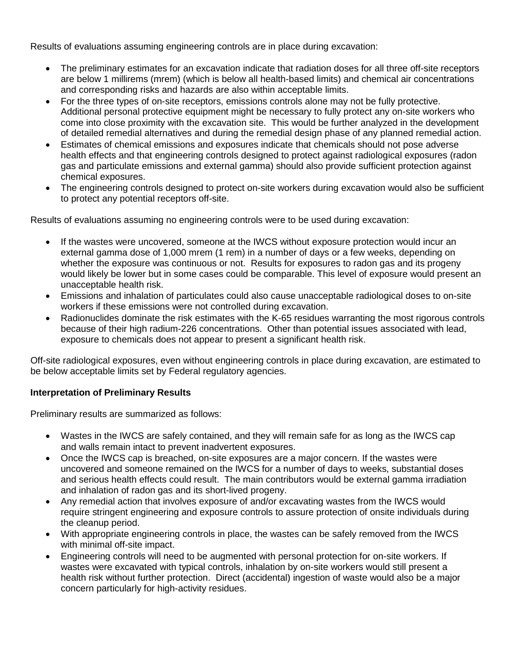Results of evaluations assuming engineering controls are in place during excavation:

- The preliminary estimates for an excavation indicate that radiation doses for all three off-site receptors are below 1 millirems (mrem) (which is below all health-based limits) and chemical air concentrations and corresponding risks and hazards are also within acceptable limits.
- For the three types of on-site receptors, emissions controls alone may not be fully protective. Additional personal protective equipment might be necessary to fully protect any on-site workers who come into close proximity with the excavation site. This would be further analyzed in the development of detailed remedial alternatives and during the remedial design phase of any planned remedial action.
- Estimates of chemical emissions and exposures indicate that chemicals should not pose adverse health effects and that engineering controls designed to protect against radiological exposures (radon gas and particulate emissions and external gamma) should also provide sufficient protection against chemical exposures.
- The engineering controls designed to protect on-site workers during excavation would also be sufficient to protect any potential receptors off-site.

Results of evaluations assuming no engineering controls were to be used during excavation:

- If the wastes were uncovered, someone at the IWCS without exposure protection would incur an external gamma dose of 1,000 mrem (1 rem) in a number of days or a few weeks, depending on whether the exposure was continuous or not. Results for exposures to radon gas and its progeny would likely be lower but in some cases could be comparable. This level of exposure would present an unacceptable health risk.
- Emissions and inhalation of particulates could also cause unacceptable radiological doses to on-site workers if these emissions were not controlled during excavation.
- Radionuclides dominate the risk estimates with the K-65 residues warranting the most rigorous controls because of their high radium-226 concentrations. Other than potential issues associated with lead, exposure to chemicals does not appear to present a significant health risk.

Off-site radiological exposures, even without engineering controls in place during excavation, are estimated to be below acceptable limits set by Federal regulatory agencies.

### **Interpretation of Preliminary Results**

Preliminary results are summarized as follows:

- Wastes in the IWCS are safely contained, and they will remain safe for as long as the IWCS cap and walls remain intact to prevent inadvertent exposures.
- Once the IWCS cap is breached, on-site exposures are a major concern. If the wastes were uncovered and someone remained on the IWCS for a number of days to weeks, substantial doses and serious health effects could result. The main contributors would be external gamma irradiation and inhalation of radon gas and its short-lived progeny.
- Any remedial action that involves exposure of and/or excavating wastes from the IWCS would require stringent engineering and exposure controls to assure protection of onsite individuals during the cleanup period.
- With appropriate engineering controls in place, the wastes can be safely removed from the IWCS with minimal off-site impact.
- Engineering controls will need to be augmented with personal protection for on-site workers. If wastes were excavated with typical controls, inhalation by on-site workers would still present a health risk without further protection. Direct (accidental) ingestion of waste would also be a major concern particularly for high-activity residues.